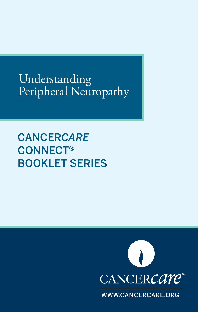Understanding Peripheral Neuropathy

CANCER*CARE* CONNECT® BOOKLET SERIES



WWW.CANCERCARE.ORG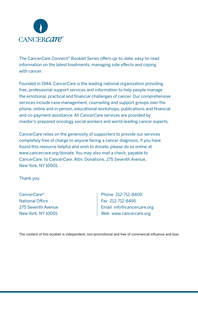

The Cancer*Care* Connect® Booklet Series offers up-to-date, easy-to-read information on the latest treatments, managing side effects and coping with cancer.

Founded in 1944, Cancer*Care* is the leading national organization providing free, professional support services and information to help people manage the emotional, practical and financial challenges of cancer. Our comprehensive services include case management, counseling and support groups over the phone, online and in person, educational workshops, publications and financial and co-payment assistance. All Cancer*Care* services are provided by master's-prepared oncology social workers and world-leading cancer experts.

Cancer*Care* relies on the generosity of supporters to provide our services completely free of charge to anyone facing a cancer diagnosis. If you have found this resource helpful and wish to donate, please do so online at www.cancercare.org/donate. You may also mail a check, payable to Cancer*Care*, to Cancer*Care*, Attn: Donations, 275 Seventh Avenue, New York, NY 10001.

Thank you.

Cancer*Care*® National Office 275 Seventh Avenue New York, NY 10001

Phone 212-712-8400 Fax 212-712-8495 Email info@cancercare.org Web www.cancercare.org

The content of this booklet is independent, non-promotional and free of commercial influence and bias.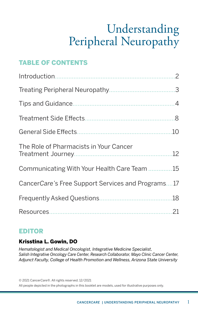# Understanding Peripheral Neuropathy

## TABLE OF CONTENTS

| The Role of Pharmacists in Your Cancer            |  |
|---------------------------------------------------|--|
| Communicating With Your Health Care Team 15       |  |
| CancerCare's Free Support Services and Programs17 |  |
|                                                   |  |
|                                                   |  |

#### EDITOR

#### Krisstina L. Gowin, DO

*Hematologist and Medical Oncologist, Integrative Medicine Specialist, Salish Integrative Oncology Care Center, Research Collaborator, Mayo Clinic Cancer Center, Adjunct Faculty, College of Health Promotion and Wellness, Arizona State University*

© 2021 Cancer*Care*®. All rights reserved. 12/2021 All people depicted in the photographs in this booklet are models, used for illustrative purposes only.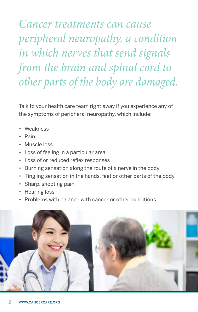<span id="page-3-0"></span>*Cancer treatments can cause peripheral neuropathy, a condition in which nerves that send signals from the brain and spinal cord to other parts of the body are damaged.* 

Talk to your health care team right away if you experience any of the symptoms of peripheral neuropathy, which include:

- Weakness
- Pain
- Muscle loss
- Loss of feeling in a particular area
- Loss of or reduced reflex responses
- Burning sensation along the route of a nerve in the body
- Tingling sensation in the hands, feet or other parts of the body
- Sharp, shooting pain
- Hearing loss
- Problems with balance with cancer or other conditions.

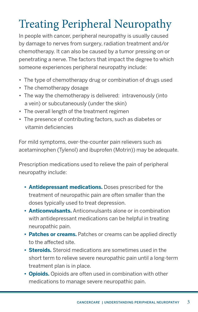# <span id="page-4-0"></span>Treating Peripheral Neuropathy

In people with cancer, peripheral neuropathy is usually caused by damage to nerves from surgery, radiation treatment and/or chemotherapy. It can also be caused by a tumor pressing on or penetrating a nerve. The factors that impact the degree to which someone experiences peripheral neuropathy include:

- The type of chemotherapy drug or combination of drugs used
- The chemotherapy dosage
- The way the chemotherapy is delivered: intravenously (into a vein) or subcutaneously (under the skin)
- The overall length of the treatment regimen
- The presence of contributing factors, such as diabetes or vitamin deficiencies

For mild symptoms, over-the-counter pain relievers such as acetaminophen (Tylenol) and ibuprofen (Motrin)) may be adequate.

Prescription medications used to relieve the pain of peripheral neuropathy include:

- **• Antidepressant medications.** Doses prescribed for the treatment of neuropathic pain are often smaller than the doses typically used to treat depression.
- **• Anticonvulsants.** Anticonvulsants alone or in combination with antidepressant medications can be helpful in treating neuropathic pain.
- **• Patches or creams.** Patches or creams can be applied directly to the affected site.
- **• Steroids.** Steroid medications are sometimes used in the short term to relieve severe neuropathic pain until a long-term treatment plan is in place.
- **• Opioids.** Opioids are often used in combination with other medications to manage severe neuropathic pain.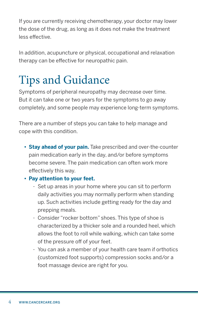<span id="page-5-0"></span>If you are currently receiving chemotherapy, your doctor may lower the dose of the drug, as long as it does not make the treatment less effective.

In addition, acupuncture or physical, occupational and relaxation therapy can be effective for neuropathic pain.

# Tips and Guidance

Symptoms of peripheral neuropathy may decrease over time. But it can take one or two years for the symptoms to go away completely, and some people may experience long-term symptoms.

There are a number of steps you can take to help manage and cope with this condition.

- **• Stay ahead of your pain.** Take prescribed and over-the-counter pain medication early in the day, and/or before symptoms become severe. The pain medication can often work more effectively this way.
- **• Pay attention to your feet.**
	- Set up areas in your home where you can sit to perform daily activities you may normally perform when standing up. Such activities include getting ready for the day and prepping meals.
	- Consider "rocker bottom" shoes. This type of shoe is characterized by a thicker sole and a rounded heel, which allows the foot to roll while walking, which can take some of the pressure off of your feet.
	- You can ask a member of your health care team if orthotics (customized foot supports) compression socks and/or a foot massage device are right for you.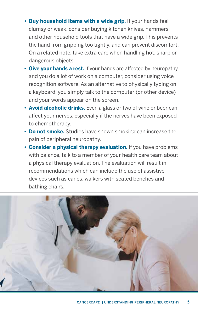- **• Buy household items with a wide grip.** If your hands feel clumsy or weak, consider buying kitchen knives, hammers and other household tools that have a wide grip. This prevents the hand from gripping too tightly, and can prevent discomfort. On a related note, take extra care when handling hot, sharp or dangerous objects.
- **• Give your hands a rest.** If your hands are affected by neuropathy and you do a lot of work on a computer, consider using voice recognition software. As an alternative to physically typing on a keyboard, you simply talk to the computer (or other device) and your words appear on the screen.
- **• Avoid alcoholic drinks.** Even a glass or two of wine or beer can affect your nerves, especially if the nerves have been exposed to chemotherapy.
- **• Do not smoke.** Studies have shown smoking can increase the pain of peripheral neuropathy.
- **• Consider a physical therapy evaluation.** If you have problems with balance, talk to a member of your health care team about a physical therapy evaluation. The evaluation will result in recommendations which can include the use of assistive devices such as canes, walkers with seated benches and bathing chairs.

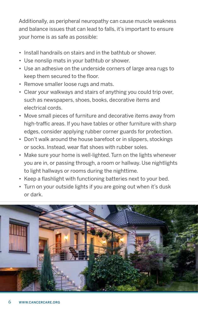Additionally, as peripheral neuropathy can cause muscle weakness and balance issues that can lead to falls, it's important to ensure your home is as safe as possible:

- Install handrails on stairs and in the bathtub or shower.
- Use nonslip mats in your bathtub or shower.
- Use an adhesive on the underside corners of large area rugs to keep them secured to the floor.
- Remove smaller loose rugs and mats.
- Clear your walkways and stairs of anything you could trip over, such as newspapers, shoes, books, decorative items and electrical cords.
- Move small pieces of furniture and decorative items away from high-traffic areas. If you have tables or other furniture with sharp edges, consider applying rubber corner guards for protection.
- Don't walk around the house barefoot or in slippers, stockings or socks. Instead, wear flat shoes with rubber soles.
- Make sure your home is well-lighted. Turn on the lights whenever you are in, or passing through, a room or hallway. Use nightlights to light hallways or rooms during the nighttime.
- Keep a flashlight with functioning batteries next to your bed.
- Turn on your outside lights if you are going out when it's dusk or dark.

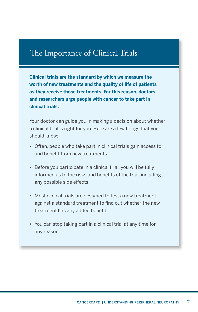# The Importance of Clinical Trials

**Clinical trials are the standard by which we measure the worth of new treatments and the quality of life of patients as they receive those treatments. For this reason, doctors and researchers urge people with cancer to take part in clinical trials.**

Your doctor can guide you in making a decision about whether a clinical trial is right for you. Here are a few things that you should know:

- Often, people who take part in clinical trials gain access to and benefit from new treatments.
- Before you participate in a clinical trial, you will be fully informed as to the risks and benefits of the trial, including any possible side effects
- Most clinical trials are designed to test a new treatment against a standard treatment to find out whether the new treatment has any added benefit.
- You can stop taking part in a clinical trial at any time for any reason.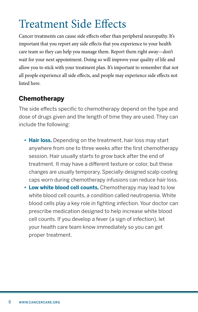# <span id="page-9-0"></span>Treatment Side Effects

Cancer treatments can cause side effects other than peripheral neuropathy. It's important that you report any side effects that you experience to your health care team so they can help you manage them. Report them right away—don't wait for your next appointment. Doing so will improve your quality of life and allow you to stick with your treatment plan. It's important to remember that not all people experience all side effects, and people may experience side effects not listed here.

### **Chemotherapy**

The side effects specific to chemotherapy depend on the type and dose of drugs given and the length of time they are used. They can include the following:

- **• Hair loss.** Depending on the treatment, hair loss may start anywhere from one to three weeks after the first chemotherapy session. Hair usually starts to grow back after the end of treatment. It may have a different texture or color, but these changes are usually temporary. Specially-designed scalp-cooling caps worn during chemotherapy infusions can reduce hair loss.
- **• Low white blood cell counts.** Chemotherapy may lead to low white blood cell counts, a condition called neutropenia. White blood cells play a key role in fighting infection. Your doctor can prescribe medication designed to help increase white blood cell counts. If you develop a fever (a sign of infection), let your health care team know immediately so you can get proper treatment.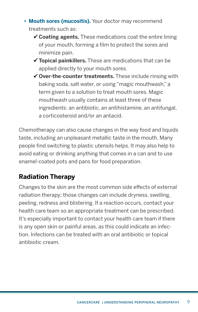- **• Mouth sores (mucositis).** Your doctor may recommend treatments such as:
	- **Coating agents.** These medications coat the entire lining of your mouth, forming a film to protect the sores and minimize pain.
	- **Topical painkillers.** These are medications that can be applied directly to your mouth sores.
	- **Over-the-counter treatments.** These include rinsing with baking soda, salt water, or using "magic mouthwash," a term given to a solution to treat mouth sores. Magic mouthwash usually contains at least three of these ingredients: an antibiotic, an antihistamine, an antifungal, a corticosteroid and/or an antacid.

Chemotherapy can also cause changes in the way food and liquids taste, including an unpleasant metallic taste in the mouth. Many people find switching to plastic utensils helps. It may also help to avoid eating or drinking anything that comes in a can and to use enamel-coated pots and pans for food preparation.

## **Radiation Therapy**

Changes to the skin are the most common side effects of external radiation therapy; those changes can include dryness, swelling, peeling, redness and blistering. If a reaction occurs, contact your health care team so an appropriate treatment can be prescribed. It's especially important to contact your health care team if there is any open skin or painful areas, as this could indicate an infection. Infections can be treated with an oral antibiotic or topical antibiotic cream.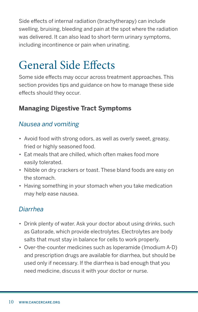<span id="page-11-0"></span>Side effects of internal radiation (brachytherapy) can include swelling, bruising, bleeding and pain at the spot where the radiation was delivered. It can also lead to short-term urinary symptoms, including incontinence or pain when urinating.

# General Side Effects

Some side effects may occur across treatment approaches. This section provides tips and guidance on how to manage these side effects should they occur.

## **Managing Digestive Tract Symptoms**

### *Nausea and vomiting*

- Avoid food with strong odors, as well as overly sweet, greasy, fried or highly seasoned food.
- Eat meals that are chilled, which often makes food more easily tolerated.
- Nibble on dry crackers or toast. These bland foods are easy on the stomach.
- Having something in your stomach when you take medication may help ease nausea.

## *Diarrhea*

- Drink plenty of water. Ask your doctor about using drinks, such as Gatorade, which provide electrolytes. Electrolytes are body salts that must stay in balance for cells to work properly.
- Over-the-counter medicines such as loperamide (Imodium A-D) and prescription drugs are available for diarrhea, but should be used only if necessary. If the diarrhea is bad enough that you need medicine, discuss it with your doctor or nurse.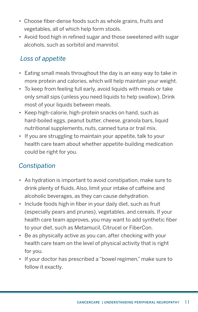- Choose fiber-dense foods such as whole grains, fruits and vegetables, all of which help form stools.
- Avoid food high in refined sugar and those sweetened with sugar alcohols, such as sorbitol and mannitol.

## *Loss of appetite*

- Eating small meals throughout the day is an easy way to take in more protein and calories, which will help maintain your weight.
- To keep from feeling full early, avoid liquids with meals or take only small sips (unless you need liquids to help swallow). Drink most of your liquids between meals.
- Keep high-calorie, high-protein snacks on hand, such as hard-boiled eggs, peanut butter, cheese, granola bars, liquid nutritional supplements, nuts, canned tuna or trail mix.
- If you are struggling to maintain your appetite, talk to your health care team about whether appetite-building medication could be right for you.

## *Constipation*

- As hydration is important to avoid constipation, make sure to drink plenty of fluids. Also, limit your intake of caffeine and alcoholic beverages, as they can cause dehydration.
- Include foods high in fiber in your daily diet, such as fruit (especially pears and prunes), vegetables, and cereals. If your health care team approves, you may want to add synthetic fiber to your diet, such as Metamucil, Citrucel or FiberCon.
- Be as physically active as you can, after checking with your health care team on the level of physical activity that is right for you.
- If your doctor has prescribed a "bowel regimen," make sure to follow it exactly.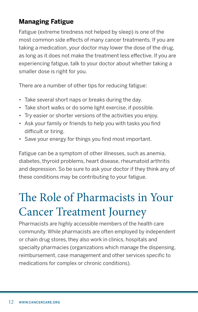## <span id="page-13-0"></span>**Managing Fatigue**

Fatigue (extreme tiredness not helped by sleep) is one of the most common side effects of many cancer treatments. If you are taking a medication, your doctor may lower the dose of the drug, as long as it does not make the treatment less effective. If you are experiencing fatigue, talk to your doctor about whether taking a smaller dose is right for you.

There are a number of other tips for reducing fatigue:

- Take several short naps or breaks during the day.
- Take short walks or do some light exercise, if possible.
- Try easier or shorter versions of the activities you enjoy.
- Ask your family or friends to help you with tasks you find difficult or tiring.
- Save your energy for things you find most important.

Fatigue can be a symptom of other illnesses, such as anemia, diabetes, thyroid problems, heart disease, rheumatoid arthritis and depression. So be sure to ask your doctor if they think any of these conditions may be contributing to your fatigue.

# The Role of Pharmacists in Your Cancer Treatment Journey

Pharmacists are highly accessible members of the health care community. While pharmacists are often employed by independent or chain drug stores, they also work in clinics, hospitals and specialty pharmacies (organizations which manage the dispensing, reimbursement, case management and other services specific to medications for complex or chronic conditions).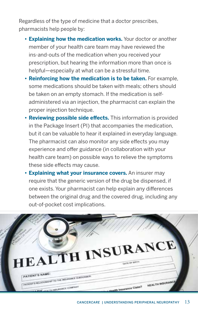Regardless of the type of medicine that a doctor prescribes, pharmacists help people by:

- **• Explaining how the medication works.** Your doctor or another member of your health care team may have reviewed the ins-and-outs of the medication when you received your prescription, but hearing the information more than once is helpful—especially at what can be a stressful time.
- **• Reinforcing how the medication is to be taken.** For example, some medications should be taken with meals; others should be taken on an empty stomach. If the medication is self administered via an injection, the pharmacist can explain the proper injection technique.
- **• Reviewing possible side effects.** This information is provided in the Package Insert (PI) that accompanies the medication, but it can be valuable to hear it explained in everyday language. The pharmacist can also monitor any side effects you may experience and offer guidance (in collaboration with your health care team) on possible ways to relieve the symptoms these side effects may cause.
- **• Explaining what your insurance covers.** An insurer may require that the generic version of the drug be dispensed, if one exists. Your pharmacist can help explain any differences between the original drug and the covered drug, including any out-of-pocket cost implications.

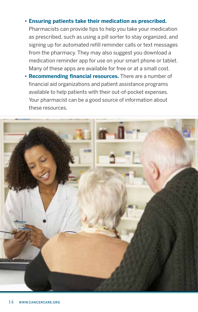#### **• Ensuring patients take their medication as prescribed.**

Pharmacists can provide tips to help you take your medication as prescribed, such as using a pill sorter to stay organized, and signing up for automated refill reminder calls or text messages from the pharmacy. They may also suggest you download a medication reminder app for use on your smart phone or tablet. Many of these apps are available for free or at a small cost.

**• Recommending financial resources.** There are a number of financial aid organizations and patient assistance programs available to help patients with their out-of-pocket expenses. Your pharmacist can be a good source of information about these resources.

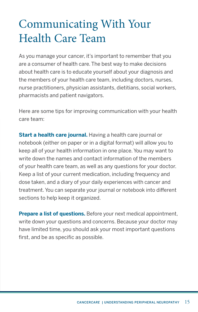# <span id="page-16-0"></span>Communicating With Your Health Care Team

As you manage your cancer, it's important to remember that you are a consumer of health care. The best way to make decisions about health care is to educate yourself about your diagnosis and the members of your health care team, including doctors, nurses, nurse practitioners, physician assistants, dietitians, social workers, pharmacists and patient navigators.

Here are some tips for improving communication with your health care team:

**Start a health care journal.** Having a health care journal or notebook (either on paper or in a digital format) will allow you to keep all of your health information in one place. You may want to write down the names and contact information of the members of your health care team, as well as any questions for your doctor. Keep a list of your current medication, including frequency and dose taken, and a diary of your daily experiences with cancer and treatment. You can separate your journal or notebook into different sections to help keep it organized.

**Prepare a list of questions.** Before your next medical appointment, write down your questions and concerns. Because your doctor may have limited time, you should ask your most important questions first, and be as specific as possible.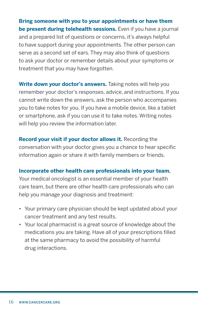**Bring someone with you to your appointments or have them be present during telehealth sessions.** Even if you have a journal and a prepared list of questions or concerns, it's always helpful to have support during your appointments. The other person can serve as a second set of ears. They may also think of questions to ask your doctor or remember details about your symptoms or treatment that you may have forgotten.

**Write down your doctor's answers.** Taking notes will help you remember your doctor's responses, advice, and instructions. If you cannot write down the answers, ask the person who accompanies you to take notes for you. If you have a mobile device, like a tablet or smartphone, ask if you can use it to take notes. Writing notes will help you review the information later.

**Record your visit if your doctor allows it.** Recording the conversation with your doctor gives you a chance to hear specific information again or share it with family members or friends.

#### **Incorporate other health care professionals into your team.**

Your medical oncologist is an essential member of your health care team, but there are other health care professionals who can help you manage your diagnosis and treatment:

- Your primary care physician should be kept updated about your cancer treatment and any test results.
- Your local pharmacist is a great source of knowledge about the medications you are taking. Have all of your prescriptions filled at the same pharmacy to avoid the possibility of harmful drug interactions.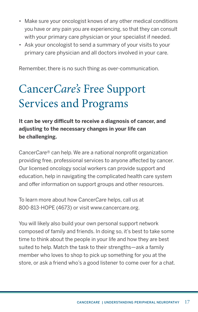- <span id="page-18-0"></span>• Make sure your oncologist knows of any other medical conditions you have or any pain you are experiencing, so that they can consult with your primary care physician or your specialist if needed.
- Ask your oncologist to send a summary of your visits to your primary care physician and all doctors involved in your care.

Remember, there is no such thing as over-communication.

# Cancer*Care's* Free Support Services and Programs

**It can be very difficult to receive a diagnosis of cancer, and adjusting to the necessary changes in your life can be challenging.** 

Cancer*Care®* can help. We are a national nonprofit organization providing free, professional services to anyone affected by cancer. Our licensed oncology social workers can provide support and education, help in navigating the complicated health care system and offer information on support groups and other resources.

To learn more about how Cancer*Care* helps, call us at 800-813-HOPE (4673) or visit www.cancercare.org.

You will likely also build your own personal support network composed of family and friends. In doing so, it's best to take some time to think about the people in your life and how they are best suited to help. Match the task to their strengths—ask a family member who loves to shop to pick up something for you at the store, or ask a friend who's a good listener to come over for a chat.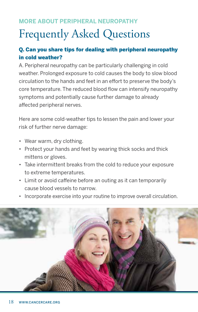### <span id="page-19-0"></span>**MORE ABOUT PERIPHERAL NEUROPATHY**

# Frequently Asked Questions

#### Q. Can you share tips for dealing with peripheral neuropathy in cold weather?

A. Peripheral neuropathy can be particularly challenging in cold weather. Prolonged exposure to cold causes the body to slow blood circulation to the hands and feet in an effort to preserve the body's core temperature. The reduced blood flow can intensify neuropathy symptoms and potentially cause further damage to already affected peripheral nerves.

Here are some cold-weather tips to lessen the pain and lower your risk of further nerve damage:

- Wear warm, dry clothing.
- Protect your hands and feet by wearing thick socks and thick mittens or gloves.
- Take intermittent breaks from the cold to reduce your exposure to extreme temperatures.
- Limit or avoid caffeine before an outing as it can temporarily cause blood vessels to narrow.
- Incorporate exercise into your routine to improve overall circulation.

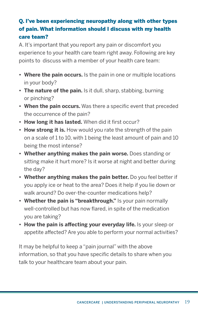### Q. I've been experiencing neuropathy along with other types of pain. What information should I discuss with my health care team?

A. It's important that you report any pain or discomfort you experience to your health care team right away. Following are key points to discuss with a member of your health care team:

- **• Where the pain occurs.** Is the pain in one or multiple locations in your body?
- **• The nature of the pain.** Is it dull, sharp, stabbing, burning or pinching?
- **• When the pain occurs.** Was there a specific event that preceded the occurrence of the pain?
- **• How long it has lasted.** When did it first occur?
- **• How strong it is.** How would you rate the strength of the pain on a scale of 1 to 10, with 1 being the least amount of pain and 10 being the most intense?
- **• Whether anything makes the pain worse.** Does standing or sitting make it hurt more? Is it worse at night and better during the day?
- **• Whether anything makes the pain better.** Do you feel better if you apply ice or heat to the area? Does it help if you lie down or walk around? Do over-the-counter medications help?
- **• Whether the pain is "breakthrough."** Is your pain normally well-controlled but has now flared, in spite of the medication you are taking?
- **• How the pain is affecting your everyday life.** Is your sleep or appetite affected? Are you able to perform your normal activities?

It may be helpful to keep a "pain journal" with the above information, so that you have specific details to share when you talk to your healthcare team about your pain.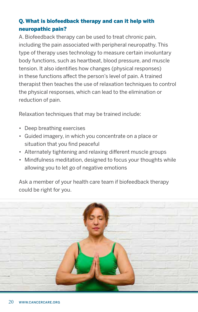#### Q. What is biofeedback therapy and can it help with neuropathic pain?

A. Biofeedback therapy can be used to treat chronic pain, including the pain associated with peripheral neuropathy. This type of therapy uses technology to measure certain involuntary body functions, such as heartbeat, blood pressure, and muscle tension. It also identifies how changes (physical responses) in these functions affect the person's level of pain. A trained therapist then teaches the use of relaxation techniques to control the physical responses, which can lead to the elimination or reduction of pain.

Relaxation techniques that may be trained include:

- Deep breathing exercises
- Guided imagery, in which you concentrate on a place or situation that you find peaceful
- Alternately tightening and relaxing different muscle groups
- Mindfulness meditation, designed to focus your thoughts while allowing you to let go of negative emotions

Ask a member of your health care team if biofeedback therapy could be right for you.

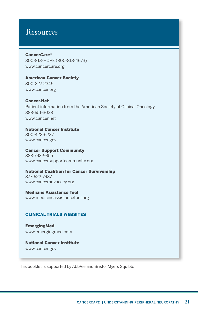## <span id="page-22-0"></span>Resources

#### Cancer*Care*®

800-813-HOPE (800-813-4673) [www.cancercare.org](https://www.cancercare.org/)

American Cancer Society 800-227-2345 [www.cancer.org](https://www.cancer.org/)

#### Cancer.Net

Patient information from the American Society of Clinical Oncology 888-651-3038 [www.cancer.net](https://www.cancer.net/)

National Cancer Institute

800-422-6237 [www.cancer.gov](https://www.cancer.gov/) 

Cancer Support Community 888-793-9355 [www.cancersupportcommunity.org](https://www.cancersupportcommunity.org/)

National Coalition for Cancer Survivorship

877-622-7937 www.canceradvocacy.org

Medicine Assistance Tool [www.medicineassistancetool.org](https://www.medicineassistancetool.org/)

#### CLINICAL TRIALS WEBSITES

EmergingMed [www.emergingmed.com](https://app.emergingmed.com/emed/home) 

National Cancer Institute [www.cancer.gov](https://www.cancer.gov/)

This booklet is supported by AbbVie and Bristol Myers Squibb.